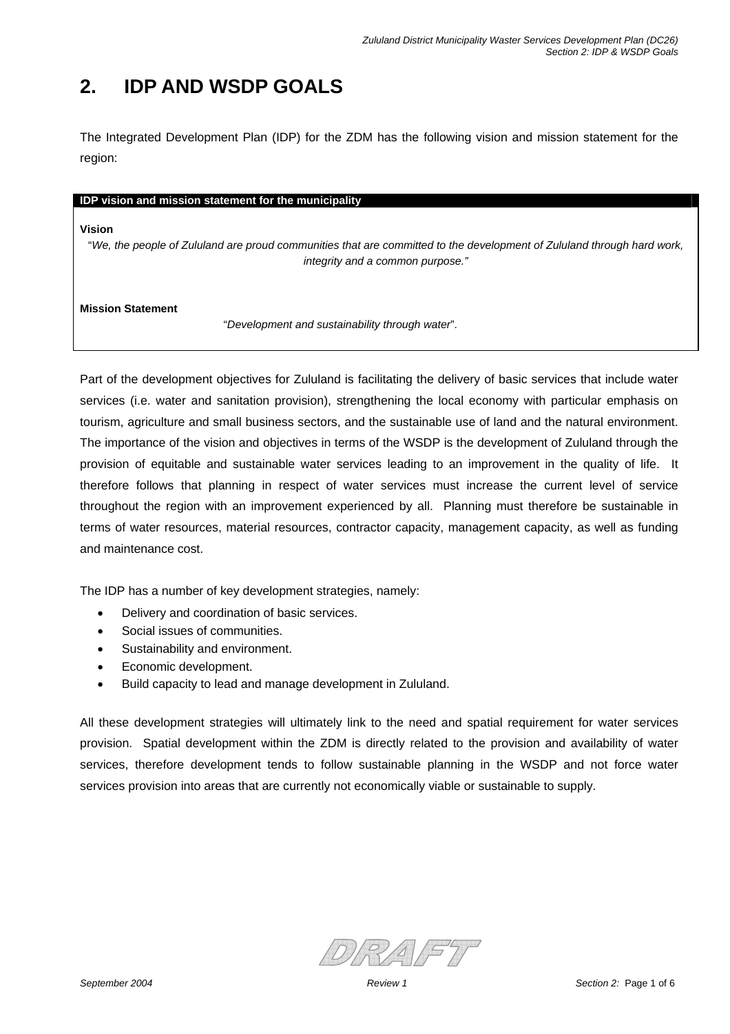# **2. IDP AND WSDP GOALS**

The Integrated Development Plan (IDP) for the ZDM has the following vision and mission statement for the region:

### **IDP vision and mission statement for the municipality**

#### **Vision**

"*We, the people of Zululand are proud communities that are committed to the development of Zululand through hard work, integrity and a common purpose."*

**Mission Statement** 

"*Development and sustainability through water*".

Part of the development objectives for Zululand is facilitating the delivery of basic services that include water services (i.e. water and sanitation provision), strengthening the local economy with particular emphasis on tourism, agriculture and small business sectors, and the sustainable use of land and the natural environment. The importance of the vision and objectives in terms of the WSDP is the development of Zululand through the provision of equitable and sustainable water services leading to an improvement in the quality of life. It therefore follows that planning in respect of water services must increase the current level of service throughout the region with an improvement experienced by all. Planning must therefore be sustainable in terms of water resources, material resources, contractor capacity, management capacity, as well as funding and maintenance cost.

The IDP has a number of key development strategies, namely:

- Delivery and coordination of basic services.
- Social issues of communities.
- Sustainability and environment.
- Economic development.
- Build capacity to lead and manage development in Zululand.

All these development strategies will ultimately link to the need and spatial requirement for water services provision. Spatial development within the ZDM is directly related to the provision and availability of water services, therefore development tends to follow sustainable planning in the WSDP and not force water services provision into areas that are currently not economically viable or sustainable to supply.

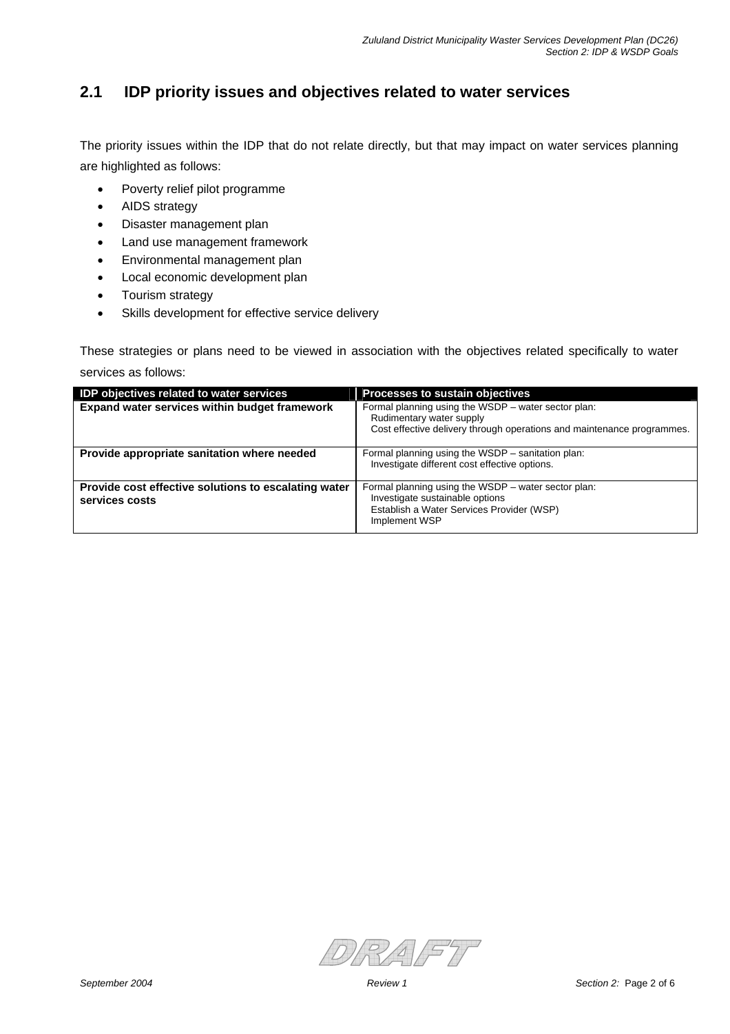## **2.1 IDP priority issues and objectives related to water services**

The priority issues within the IDP that do not relate directly, but that may impact on water services planning are highlighted as follows:

- Poverty relief pilot programme
- AIDS strategy
- Disaster management plan
- Land use management framework
- Environmental management plan
- Local economic development plan
- Tourism strategy
- Skills development for effective service delivery

These strategies or plans need to be viewed in association with the objectives related specifically to water services as follows:

| IDP objectives related to water services                               | <b>Processes to sustain objectives</b>                                                                                                                    |
|------------------------------------------------------------------------|-----------------------------------------------------------------------------------------------------------------------------------------------------------|
| Expand water services within budget framework                          | Formal planning using the WSDP - water sector plan:<br>Rudimentary water supply<br>Cost effective delivery through operations and maintenance programmes. |
| Provide appropriate sanitation where needed                            | Formal planning using the WSDP – sanitation plan:<br>Investigate different cost effective options.                                                        |
| Provide cost effective solutions to escalating water<br>services costs | Formal planning using the WSDP - water sector plan:<br>Investigate sustainable options<br>Establish a Water Services Provider (WSP)<br>Implement WSP      |

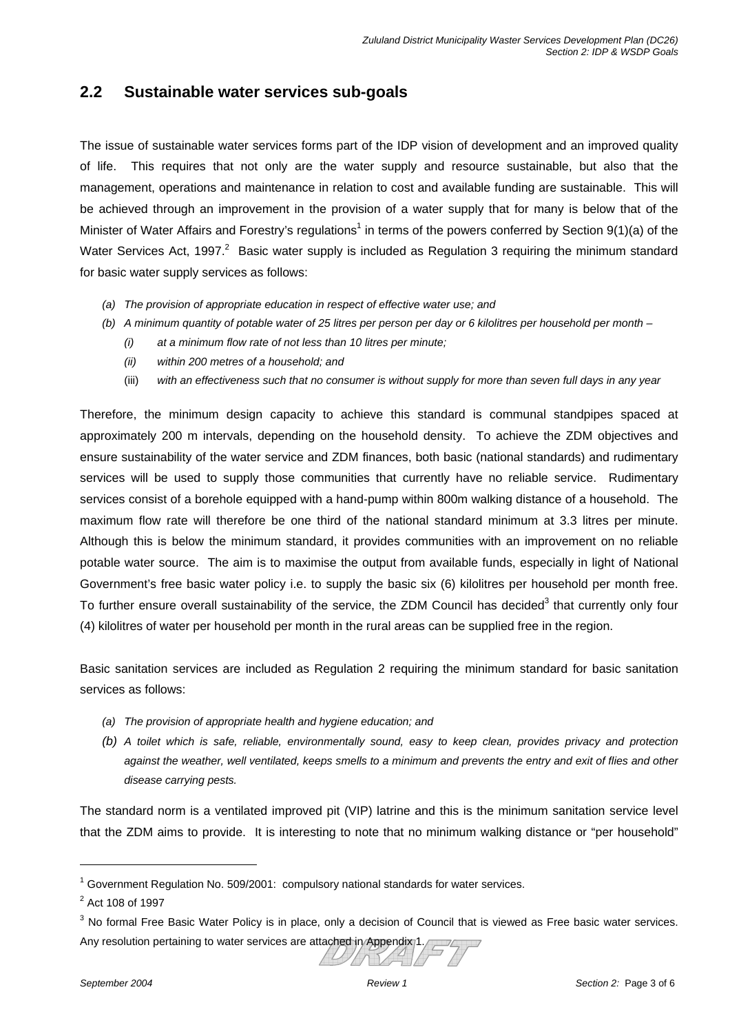## **2.2 Sustainable water services sub-goals**

The issue of sustainable water services forms part of the IDP vision of development and an improved quality of life. This requires that not only are the water supply and resource sustainable, but also that the management, operations and maintenance in relation to cost and available funding are sustainable. This will be achieved through an improvement in the provision of a water supply that for many is below that of the Minister of Water Affairs and Forestry's regulations<sup>1</sup> in terms of the powers conferred by Section 9(1)(a) of the Water Services Act, 1997.<sup>2</sup> Basic water supply is included as Regulation 3 requiring the minimum standard for basic water supply services as follows:

- *(a) The provision of appropriate education in respect of effective water use; and*
- *(b) A minimum quantity of potable water of 25 litres per person per day or 6 kilolitres per household per month* 
	- *(i) at a minimum flow rate of not less than 10 litres per minute;*
	- *(ii) within 200 metres of a household; and*
	- (iii) *with an effectiveness such that no consumer is without supply for more than seven full days in any year*

Therefore, the minimum design capacity to achieve this standard is communal standpipes spaced at approximately 200 m intervals, depending on the household density. To achieve the ZDM objectives and ensure sustainability of the water service and ZDM finances, both basic (national standards) and rudimentary services will be used to supply those communities that currently have no reliable service. Rudimentary services consist of a borehole equipped with a hand-pump within 800m walking distance of a household. The maximum flow rate will therefore be one third of the national standard minimum at 3.3 litres per minute. Although this is below the minimum standard, it provides communities with an improvement on no reliable potable water source. The aim is to maximise the output from available funds, especially in light of National Government's free basic water policy i.e. to supply the basic six (6) kilolitres per household per month free. To further ensure overall sustainability of the service, the ZDM Council has decided<sup>3</sup> that currently only four (4) kilolitres of water per household per month in the rural areas can be supplied free in the region.

Basic sanitation services are included as Regulation 2 requiring the minimum standard for basic sanitation services as follows:

- *(a) The provision of appropriate health and hygiene education; and*
- *(b) A toilet which is safe, reliable, environmentally sound, easy to keep clean, provides privacy and protection against the weather, well ventilated, keeps smells to a minimum and prevents the entry and exit of flies and other disease carrying pests.*

The standard norm is a ventilated improved pit (VIP) latrine and this is the minimum sanitation service level that the ZDM aims to provide. It is interesting to note that no minimum walking distance or "per household"

l

 $1$  Government Regulation No. 509/2001: compulsory national standards for water services.

<sup>&</sup>lt;sup>2</sup> Act 108 of 1997

 $3$  No formal Free Basic Water Policy is in place, only a decision of Council that is viewed as Free basic water services. Any resolution pertaining to water services are attached in Appendix 1.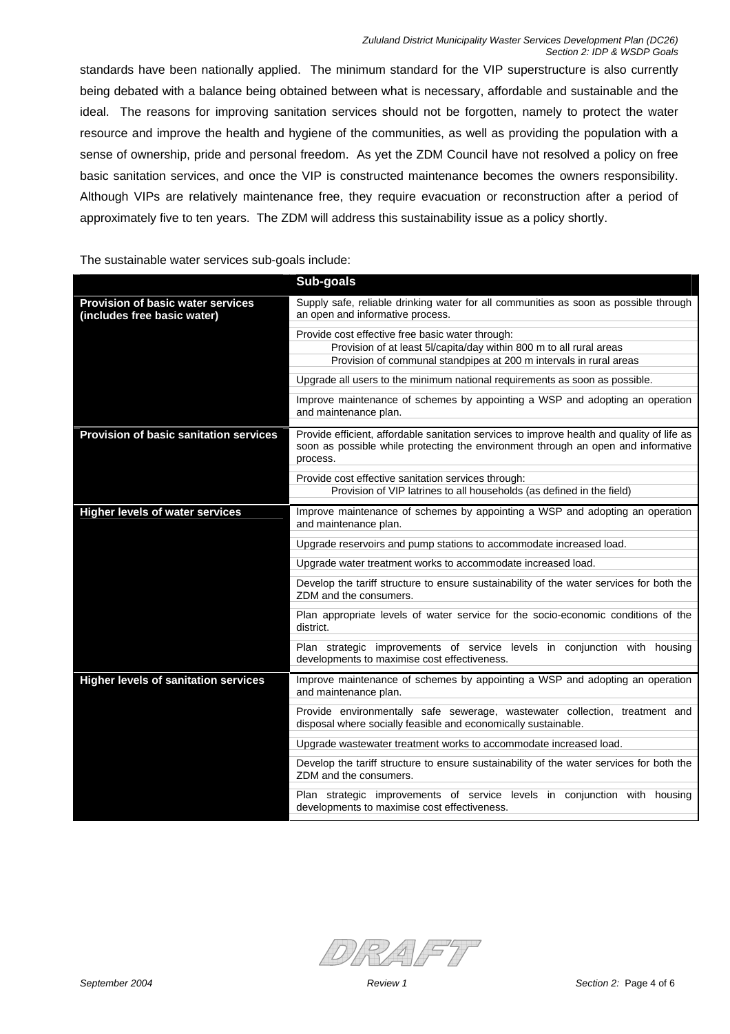standards have been nationally applied. The minimum standard for the VIP superstructure is also currently being debated with a balance being obtained between what is necessary, affordable and sustainable and the ideal. The reasons for improving sanitation services should not be forgotten, namely to protect the water resource and improve the health and hygiene of the communities, as well as providing the population with a sense of ownership, pride and personal freedom. As yet the ZDM Council have not resolved a policy on free basic sanitation services, and once the VIP is constructed maintenance becomes the owners responsibility. Although VIPs are relatively maintenance free, they require evacuation or reconstruction after a period of approximately five to ten years. The ZDM will address this sustainability issue as a policy shortly.

The sustainable water services sub-goals include:

|                                                                  | Sub-goals                                                                                                                                                                                   |
|------------------------------------------------------------------|---------------------------------------------------------------------------------------------------------------------------------------------------------------------------------------------|
| Provision of basic water services<br>(includes free basic water) | Supply safe, reliable drinking water for all communities as soon as possible through<br>an open and informative process.                                                                    |
|                                                                  | Provide cost effective free basic water through:                                                                                                                                            |
|                                                                  | Provision of at least 5l/capita/day within 800 m to all rural areas                                                                                                                         |
|                                                                  | Provision of communal standpipes at 200 m intervals in rural areas                                                                                                                          |
|                                                                  | Upgrade all users to the minimum national requirements as soon as possible.                                                                                                                 |
|                                                                  | Improve maintenance of schemes by appointing a WSP and adopting an operation<br>and maintenance plan.                                                                                       |
| <b>Provision of basic sanitation services</b>                    | Provide efficient, affordable sanitation services to improve health and quality of life as<br>soon as possible while protecting the environment through an open and informative<br>process. |
|                                                                  | Provide cost effective sanitation services through:                                                                                                                                         |
|                                                                  | Provision of VIP latrines to all households (as defined in the field)                                                                                                                       |
| <b>Higher levels of water services</b>                           | Improve maintenance of schemes by appointing a WSP and adopting an operation<br>and maintenance plan.                                                                                       |
|                                                                  | Upgrade reservoirs and pump stations to accommodate increased load.                                                                                                                         |
|                                                                  | Upgrade water treatment works to accommodate increased load.                                                                                                                                |
|                                                                  | Develop the tariff structure to ensure sustainability of the water services for both the<br>ZDM and the consumers.                                                                          |
|                                                                  | Plan appropriate levels of water service for the socio-economic conditions of the<br>district.                                                                                              |
|                                                                  | Plan strategic improvements of service levels in conjunction with housing<br>developments to maximise cost effectiveness.                                                                   |
| <b>Higher levels of sanitation services</b>                      | Improve maintenance of schemes by appointing a WSP and adopting an operation<br>and maintenance plan.                                                                                       |
|                                                                  | Provide environmentally safe sewerage, wastewater collection, treatment and<br>disposal where socially feasible and economically sustainable.                                               |
|                                                                  | Upgrade wastewater treatment works to accommodate increased load.                                                                                                                           |
|                                                                  | Develop the tariff structure to ensure sustainability of the water services for both the<br>ZDM and the consumers.                                                                          |
|                                                                  | Plan strategic improvements of service levels in conjunction with housing<br>developments to maximise cost effectiveness.                                                                   |

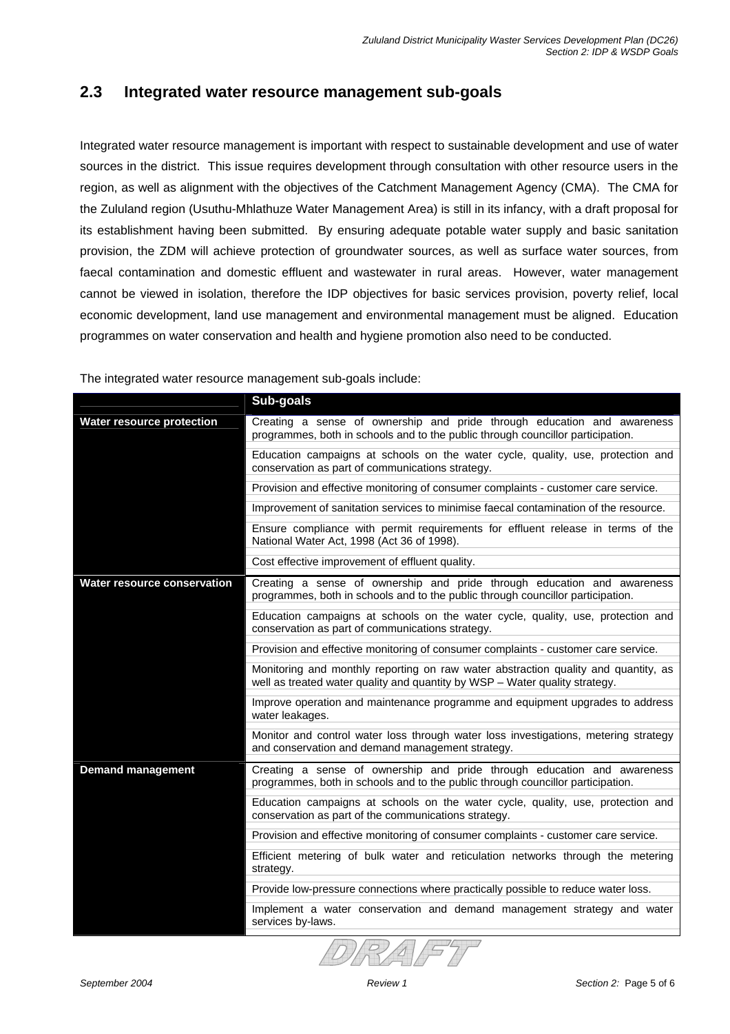## **2.3 Integrated water resource management sub-goals**

Integrated water resource management is important with respect to sustainable development and use of water sources in the district. This issue requires development through consultation with other resource users in the region, as well as alignment with the objectives of the Catchment Management Agency (CMA). The CMA for the Zululand region (Usuthu-Mhlathuze Water Management Area) is still in its infancy, with a draft proposal for its establishment having been submitted. By ensuring adequate potable water supply and basic sanitation provision, the ZDM will achieve protection of groundwater sources, as well as surface water sources, from faecal contamination and domestic effluent and wastewater in rural areas. However, water management cannot be viewed in isolation, therefore the IDP objectives for basic services provision, poverty relief, local economic development, land use management and environmental management must be aligned. Education programmes on water conservation and health and hygiene promotion also need to be conducted.

|                                    | Sub-goals                                                                                                                                                         |
|------------------------------------|-------------------------------------------------------------------------------------------------------------------------------------------------------------------|
| <b>Water resource protection</b>   | Creating a sense of ownership and pride through education and awareness<br>programmes, both in schools and to the public through councillor participation.        |
|                                    | Education campaigns at schools on the water cycle, quality, use, protection and<br>conservation as part of communications strategy.                               |
|                                    | Provision and effective monitoring of consumer complaints - customer care service.                                                                                |
|                                    | Improvement of sanitation services to minimise faecal contamination of the resource.                                                                              |
|                                    | Ensure compliance with permit requirements for effluent release in terms of the<br>National Water Act, 1998 (Act 36 of 1998).                                     |
|                                    | Cost effective improvement of effluent quality.                                                                                                                   |
| <b>Water resource conservation</b> | Creating a sense of ownership and pride through education and awareness<br>programmes, both in schools and to the public through councillor participation.        |
|                                    | Education campaigns at schools on the water cycle, quality, use, protection and<br>conservation as part of communications strategy.                               |
|                                    | Provision and effective monitoring of consumer complaints - customer care service.                                                                                |
|                                    | Monitoring and monthly reporting on raw water abstraction quality and quantity, as<br>well as treated water quality and quantity by WSP - Water quality strategy. |
|                                    | Improve operation and maintenance programme and equipment upgrades to address<br>water leakages.                                                                  |
|                                    | Monitor and control water loss through water loss investigations, metering strategy<br>and conservation and demand management strategy.                           |
| <b>Demand management</b>           | Creating a sense of ownership and pride through education and awareness<br>programmes, both in schools and to the public through councillor participation.        |
|                                    | Education campaigns at schools on the water cycle, quality, use, protection and<br>conservation as part of the communications strategy.                           |
|                                    | Provision and effective monitoring of consumer complaints - customer care service.                                                                                |
|                                    | Efficient metering of bulk water and reticulation networks through the metering<br>strategy.                                                                      |
|                                    | Provide low-pressure connections where practically possible to reduce water loss.                                                                                 |
|                                    | Implement a water conservation and demand management strategy and water                                                                                           |
|                                    | services by-laws.                                                                                                                                                 |

The integrated water resource management sub-goals include: